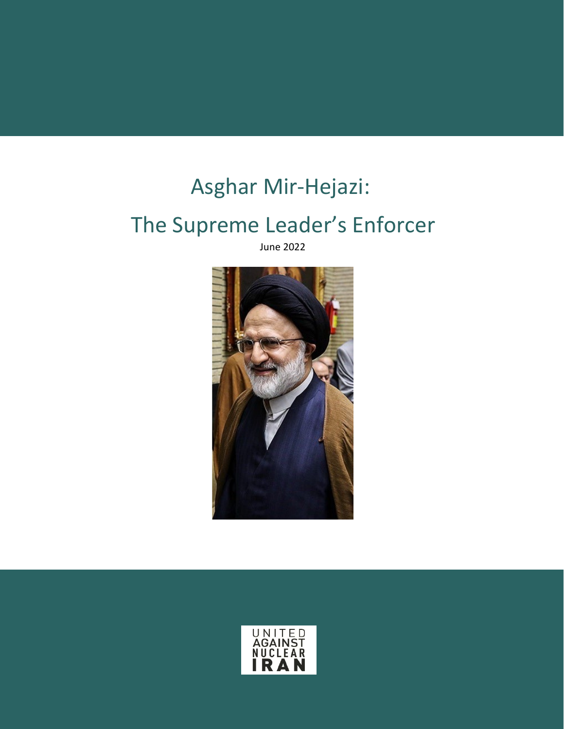# Asghar Mir-Hejazi:

## The Supreme Leader's Enforcer

June 2022



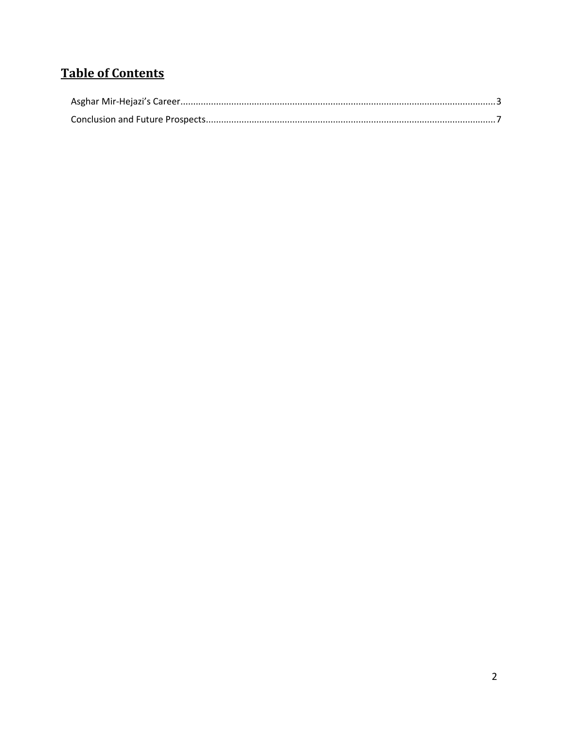### **Table of Contents**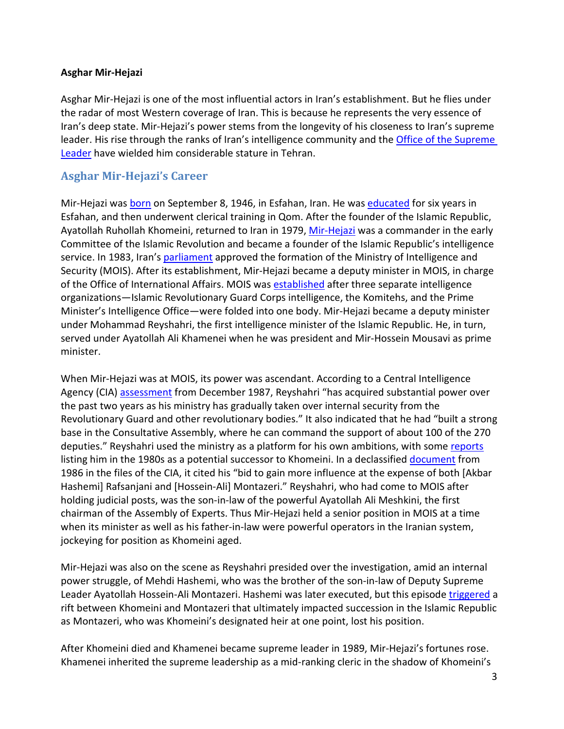#### **Asghar Mir-Hejazi**

Asghar Mir-Hejazi is one of the most influential actors in Iran's establishment. But he flies under the radar of most Western coverage of Iran. This is because he represents the very essence of Iran's deep state. Mir-Hejazi's power stems from the longevity of his closeness to Iran's supreme leader. His rise through the ranks of Iran's intelligence community and the Office [of the Supreme](https://www.unitedagainstnucleariran.com/government-institution/office-of-supreme-leader)  [Leader](https://www.unitedagainstnucleariran.com/government-institution/office-of-supreme-leader) have wielded him considerable stature in Tehran.

#### <span id="page-2-0"></span>**Asghar Mir-Hejazi's Career**

Mir-Hejazi was [born](https://sanctionssearch.ofac.treas.gov/Details.aspx?id=15991) on September 8, 1946, in Esfahan, Iran. He was [educated](https://play.google.com/store/books/details?pcampaignid=books_read_action&id=Pr_QDAAAQBAJ) for six years in Esfahan, and then underwent clerical training in Qom. After the founder of the Islamic Republic, Ayatollah Ruhollah Khomeini, returned to Iran in 1979, [Mir-Hejazi](https://www.washingtoninstitute.org/policy-analysis/house-leader-real-power-iran) was a commander in the early Committee of the Islamic Revolution and became a founder of the Islamic Republic's intelligence service. In 1983, Iran's [parliament](https://www.unitedagainstnucleariran.com/government-institution/parliament) approved the formation of the Ministry of Intelligence and Security (MOIS). After its establishment, Mir-Hejazi became a deputy minister in MOIS, in charge of the Office of International Affairs. MOIS was [established](https://irp.fas.org/world/iran/mois-loc.pdf) after three separate intelligence organizations—Islamic Revolutionary Guard Corps intelligence, the Komitehs, and the Prime Minister's Intelligence Office—were folded into one body. Mir-Hejazi became a deputy minister under Mohammad Reyshahri, the first intelligence minister of the Islamic Republic. He, in turn, served under Ayatollah Ali Khamenei when he was president and Mir-Hossein Mousavi as prime minister.

When Mir-Hejazi was at MOIS, its power was ascendant. According to a Central Intelligence Agency (CIA) [assessment](https://www.cia.gov/readingroom/document/cia-rdp88t00096r000800970002-7) from December 1987, Reyshahri "has acquired substantial power over the past two years as his ministry has gradually taken over internal security from the Revolutionary Guard and other revolutionary bodies." It also indicated that he had "built a strong base in the Consultative Assembly, where he can command the support of about 100 of the 270 deputies." Reyshahri used the ministry as a platform for his own ambitions, with some [reports](https://apnews.com/article/14fe0f144da5e5721f07723729762531) listing him in the 1980s as a potential successor to Khomeini. In a declassifie[d document](https://www.cia.gov/readingroom/document/cia-rdp91b00874r000200040005-2) from 1986 in the files of the CIA, it cited his "bid to gain more influence at the expense of both [Akbar Hashemi] Rafsanjani and [Hossein-Ali] Montazeri." Reyshahri, who had come to MOIS after holding judicial posts, was the son-in-law of the powerful Ayatollah Ali Meshkini, the first chairman of the Assembly of Experts. Thus Mir-Hejazi held a senior position in MOIS at a time when its minister as well as his father-in-law were powerful operators in the Iranian system, jockeying for position as Khomeini aged.

Mir-Hejazi was also on the scene as Reyshahri presided over the investigation, amid an internal power struggle, of Mehdi Hashemi, who was the brother of the son-in-law of Deputy Supreme Leader Ayatollah Hossein-Ali Montazeri. Hashemi was later executed, but this episode [triggered](https://iranwire.com/en/features/61942) a rift between Khomeini and Montazeri that ultimately impacted succession in the Islamic Republic as Montazeri, who was Khomeini's designated heir at one point, lost his position.

After Khomeini died and Khamenei became supreme leader in 1989, Mir-Hejazi's fortunes rose. Khamenei inherited the supreme leadership as a mid-ranking cleric in the shadow of Khomeini's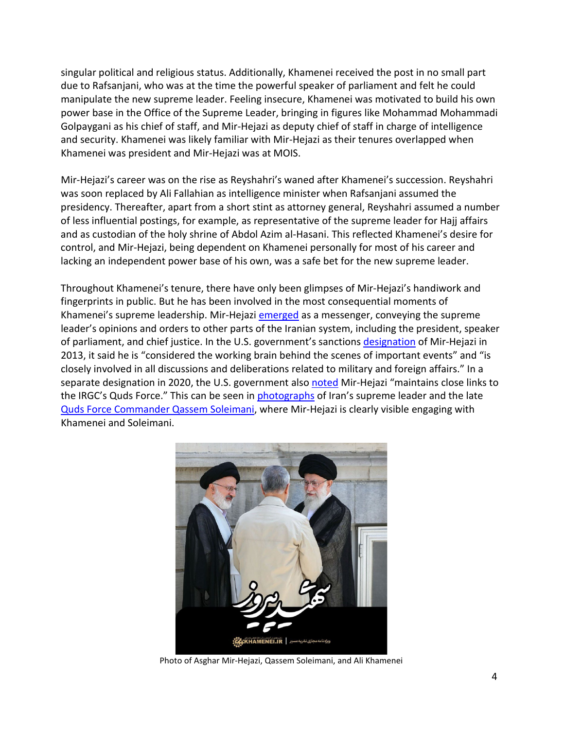singular political and religious status. Additionally, Khamenei received the post in no small part due to Rafsanjani, who was at the time the powerful speaker of parliament and felt he could manipulate the new supreme leader. Feeling insecure, Khamenei was motivated to build his own power base in the Office of the Supreme Leader, bringing in figures like Mohammad Mohammadi Golpaygani as his chief of staff, and Mir-Hejazi as deputy chief of staff in charge of intelligence and security. Khamenei was likely familiar with Mir-Hejazi as their tenures overlapped when Khamenei was president and Mir-Hejazi was at MOIS.

Mir-Hejazi's career was on the rise as Reyshahri's waned after Khamenei's succession. Reyshahri was soon replaced by Ali Fallahian as intelligence minister when Rafsanjani assumed the presidency. Thereafter, apart from a short stint as attorney general, Reyshahri assumed a number of less influential postings, for example, as representative of the supreme leader for Hajj affairs and as custodian of the holy shrine of Abdol Azim al-Hasani. This reflected Khamenei's desire for control, and Mir-Hejazi, being dependent on Khamenei personally for most of his career and lacking an independent power base of his own, was a safe bet for the new supreme leader.

Throughout Khamenei's tenure, there have only been glimpses of Mir-Hejazi's handiwork and fingerprints in public. But he has been involved in the most consequential moments of Khamenei's supreme leadership. Mir-Hejazi [emerged](https://www.bbc.com/persian/iran/2011/09/110916_l13_khamenei_men) as a messenger, conveying the supreme leader's opinions and orders to other parts of the Iranian system, including the president, speaker of parliament, and chief justice. In the U.S. government's sanctions [designation](https://home.treasury.gov/news/press-releases/jl1961) of Mir-Hejazi in 2013, it said he is "considered the working brain behind the scenes of important events" and "is closely involved in all discussions and deliberations related to military and foreign affairs." In a separate designation in 2020, the U.S. government also [noted](https://home.treasury.gov/news/press-releases/sm870) Mir-Hejazi "maintains close links to the IRGC's Quds Force." This can be seen in [photographs](https://www.asriran.com/fa/news/769943/%D8%AA%D8%B5%D9%88%DB%8C%D8%B1-%D8%AF%DB%8C%D8%AF%D9%87-%D9%86%D8%B4%D8%AF%D9%87-%D8%A7%D8%B2-%D9%85%D9%82%D8%A7%D9%85-%D9%85%D8%B9%D8%B8%D9%85-%D8%B1%D9%87%D8%A8%D8%B1%DB%8C-%D9%88-%D8%B3%D8%B1%D8%AF%D8%A7%D8%B1-%D8%B3%D9%84%DB%8C%D9%85%D8%A7%D9%86%DB%8C-%D8%AF%D8%B1-%D8%AD%DB%8C%D8%A7%D8%B7-%D8%A8%DB%8C%D8%AA-%D8%B1%D9%87%D8%A8%D8%B1%DB%8C) of Iran's supreme leader and the late [Quds Force Commander Qassem Soleimani,](https://www.unitedagainstnucleariran.com/major-general-qassem-soleimani-former-commander-of-irgcs-quds-force) where Mir-Hejazi is clearly visible engaging with Khamenei and Soleimani.



Photo of Asghar Mir-Hejazi, Qassem Soleimani, and Ali Khamenei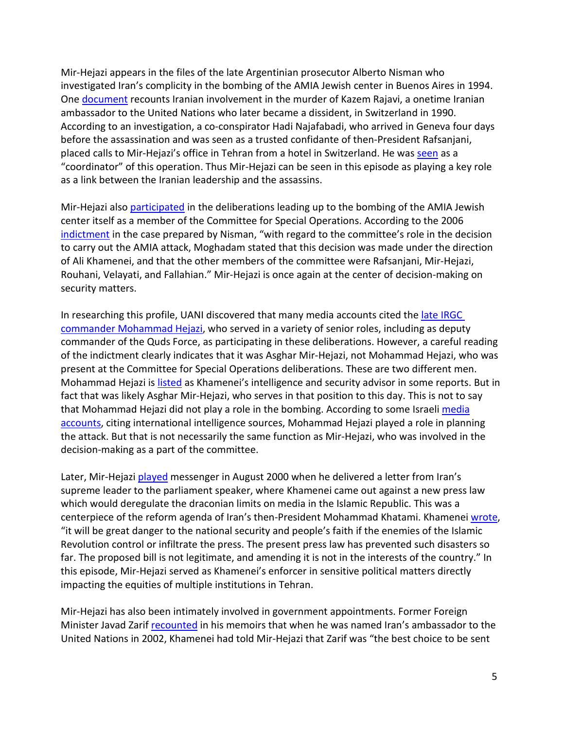Mir-Hejazi appears in the files of the late Argentinian prosecutor Alberto Nisman who investigated Iran's complicity in the bombing of the AMIA Jewish center in Buenos Aires in 1994. One [document](http://albertonisman.org/wp-content/uploads/2015/03/2006-Nisman-indict-AMIA-full-ENG_.pdf) recounts Iranian involvement in the murder of Kazem Rajavi, a onetime Iranian ambassador to the United Nations who later became a dissident, in Switzerland in 1990. According to an investigation, a co-conspirator Hadi Najafabadi, who arrived in Geneva four days before the assassination and was seen as a trusted confidante of then-President Rafsanjani, placed calls to Mir-Hejazi's office in Tehran from a hotel in Switzerland. He was [seen](https://www.washingtonpost.com/archive/lifestyle/1990/05/22/an-iranian-rebels-diplomatic-murder/9a35cf2e-d83c-4868-8ffb-5676a8acbd13/) as a "coordinator" of this operation. Thus Mir-Hejazi can be seen in this episode as playing a key role as a link between the Iranian leadership and the assassins.

Mir-Hejazi also **participated** in the deliberations leading up to the bombing of the AMIA Jewish center itself as a member of the Committee for Special Operations. According to the 2006 [indictment](http://albertonisman.org/wp-content/uploads/2015/03/2006-Nisman-indict-AMIA-full-ENG_.pdf) in the case prepared by Nisman, "with regard to the committee's role in the decision to carry out the AMIA attack, Moghadam stated that this decision was made under the direction of Ali Khamenei, and that the other members of the committee were Rafsanjani, Mir-Hejazi, Rouhani, Velayati, and Fallahian." Mir-Hejazi is once again at the center of decision-making on security matters.

In researching this profile, UANI discovered that many media accounts cited the [late IRGC](https://www.unitedagainstnucleariran.com/mohammad-hejazi-former-deputy-commander-of-irgcs-quds-force)  [commander Mohammad Hejazi,](https://www.unitedagainstnucleariran.com/mohammad-hejazi-former-deputy-commander-of-irgcs-quds-force) who served in a variety of senior roles, including as deputy commander of the Quds Force, as participating in these deliberations. However, a careful reading of the indictment clearly indicates that it was Asghar Mir-Hejazi, not Mohammad Hejazi, who was present at the Committee for Special Operations deliberations. These are two different men. Mohammad Hejazi is [listed](https://web.archive.org/web/20131029184824/http:/www.ajc.org/atf/cf/%7B42D75369-D582-4380-8395-D25925B85EAF%7D/Hizballah_052003.pdf) as Khamenei's intelligence and security advisor in some reports. But in fact that was likely Asghar Mir-Hejazi, who serves in that position to this day. This is not to say that Mohammad Hejazi did not play a role in the bombing. According to some Israel[i media](https://www.israelhayom.com/2021/04/20/report-deputy-quds-force-commander-poisoned-by-israel-us/) [accounts,](https://www.ynetnews.com/article/SJSehSNZ8) citing international intelligence sources, Mohammad Hejazi played a role in planning the attack. But that is not necessarily the same function as Mir-Hejazi, who was involved in the decision-making as a part of the committee.

Later, Mir-Hejazi [played](https://web.archive.org/web/20171107024457/http:/www.farsnews.com/printable.php?nn=8903161208) messenger in August 2000 when he delivered a letter from Iran's supreme leader to the parliament speaker, where Khamenei came out against a new press law which would deregulate the draconian limits on media in the Islamic Republic. This was a centerpiece of the reform agenda of Iran's then-President Mohammad Khatami. Khamenei [wrote,](https://www.nytimes.com/2000/08/07/world/iran-leader-bars-a-bill-restoring-freedom-of-press.html) "it will be great danger to the national security and people's faith if the enemies of the Islamic Revolution control or infiltrate the press. The present press law has prevented such disasters so far. The proposed bill is not legitimate, and amending it is not in the interests of the country." In this episode, Mir-Hejazi served as Khamenei's enforcer in sensitive political matters directly impacting the equities of multiple institutions in Tehran.

Mir-Hejazi has also been intimately involved in government appointments. Former Foreign Minister Javad Zarif [recounted](https://iranwire.com/en/politics/60064) in his memoirs that when he was named Iran's ambassador to the United Nations in 2002, Khamenei had told Mir-Hejazi that Zarif was "the best choice to be sent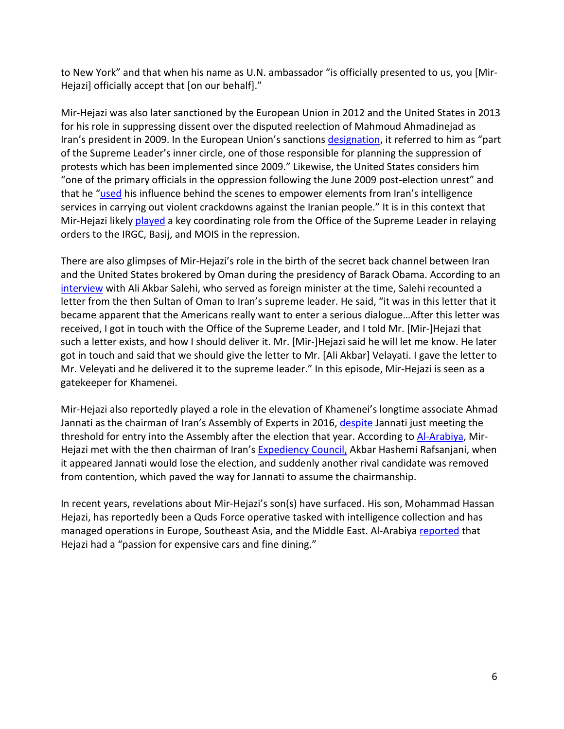to New York" and that when his name as U.N. ambassador "is officially presented to us, you [Mir-Hejazi] officially accept that [on our behalf]."

Mir-Hejazi was also later sanctioned by the European Union in 2012 and the United States in 2013 for his role in suppressing dissent over the disputed reelection of Mahmoud Ahmadinejad as Iran's president in 2009. In the European Union's sanctions [designation,](https://assets.publishing.service.gov.uk/government/uploads/system/uploads/attachment_data/file/1055453/Notice_Iran__Human_Rights__160222.pdf) it referred to him as "part of the Supreme Leader's inner circle, one of those responsible for planning the suppression of protests which has been implemented since 2009." Likewise, the United States considers him "one of the primary officials in the oppression following the June 2009 post-election unrest" and that he ["used](https://www.washingtoninstitute.org/media/4070) his influence behind the scenes to empower elements from Iran's intelligence services in carrying out violent crackdowns against the Iranian people." It is in this context that Mir-Hejazi likely [played](https://home.treasury.gov/news/press-releases/jl1961) a key coordinating role from the Office of the Supreme Leader in relaying orders to the IRGC, Basij, and MOIS in the repression.

There are also glimpses of Mir-Hejazi's role in the birth of the secret back channel between Iran and the United States brokered by Oman during the presidency of Barack Obama. According to an [interview](https://www.al-monitor.com/originals/2015/12/salehi-interview-conveys-new-details-of-secret-backchannel.html) with Ali Akbar Salehi, who served as foreign minister at the time, Salehi recounted a letter from the then Sultan of Oman to Iran's supreme leader. He said, "it was in this letter that it became apparent that the Americans really want to enter a serious dialogue…After this letter was received, I got in touch with the Office of the Supreme Leader, and I told Mr. [Mir-]Hejazi that such a letter exists, and how I should deliver it. Mr. [Mir-]Hejazi said he will let me know. He later got in touch and said that we should give the letter to Mr. [Ali Akbar] Velayati. I gave the letter to Mr. Veleyati and he delivered it to the supreme leader." In this episode, Mir-Hejazi is seen as a gatekeeper for Khamenei.

Mir-Hejazi also reportedly played a role in the elevation of Khamenei's longtime associate Ahmad Jannati as the chairman of Iran's Assembly of Experts in 2016, [despite](https://www.reuters.com/article/us-iran-assembly-jannati/hardliner-elected-as-head-of-irans-top-clerical-body-idUSKCN0YF0Q7) Jannati just meeting the threshold for entry into the Assembly after the election that year. According to [Al-Arabiya,](https://english.alarabiya.net/News/world/2016/06/15/Meet-Iran-s-Quds-force-rising-stars-Ali-Asghar-Hejazi-and-his-son-) Mir-Hejazi met with the then chairman of Iran's [Expediency Council,](https://www.unitedagainstnucleariran.com/government-institution/expediency-council) Akbar Hashemi Rafsanjani, when it appeared Jannati would lose the election, and suddenly another rival candidate was removed from contention, which paved the way for Jannati to assume the chairmanship.

In recent years, revelations about Mir-Hejazi's son(s) have surfaced. His son, Mohammad Hassan Hejazi, has reportedly been a Quds Force operative tasked with intelligence collection and has managed operations in Europe, Southeast Asia, and the Middle East. Al-Arabiya [reported](https://english.alarabiya.net/News/world/2016/06/15/Meet-Iran-s-Quds-force-rising-stars-Ali-Asghar-Hejazi-and-his-son-) that Hejazi had a "passion for expensive cars and fine dining."